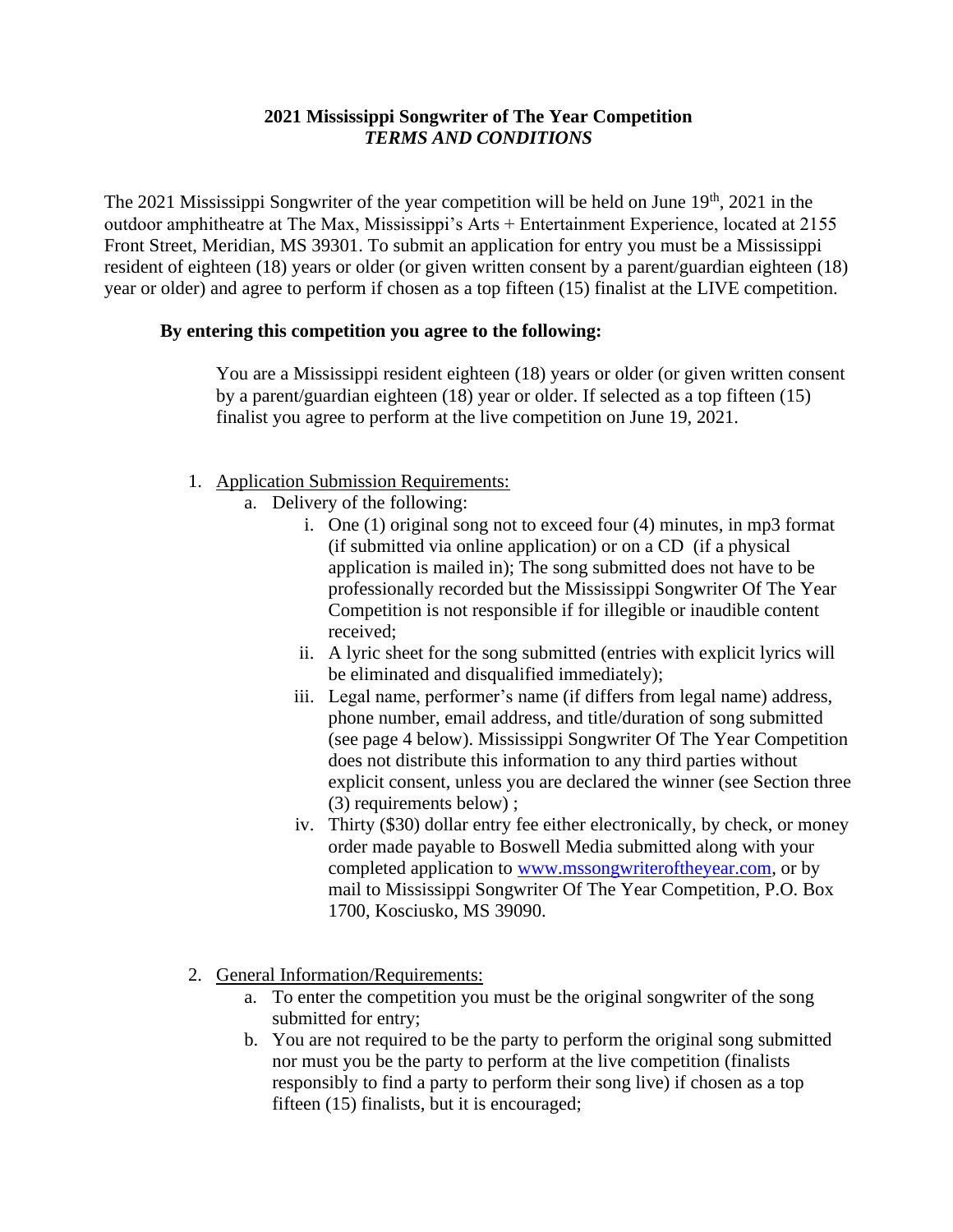## **2021 Mississippi Songwriter of The Year Competition** *TERMS AND CONDITIONS*

The 2021 Mississippi Songwriter of the year competition will be held on June 19<sup>th</sup>, 2021 in the outdoor amphitheatre at The Max, Mississippi's Arts + Entertainment Experience, located at 2155 Front Street, Meridian, MS 39301. To submit an application for entry you must be a Mississippi resident of eighteen (18) years or older (or given written consent by a parent/guardian eighteen (18) year or older) and agree to perform if chosen as a top fifteen (15) finalist at the LIVE competition.

## **By entering this competition you agree to the following:**

You are a Mississippi resident eighteen (18) years or older (or given written consent by a parent/guardian eighteen (18) year or older. If selected as a top fifteen (15) finalist you agree to perform at the live competition on June 19, 2021.

- 1. Application Submission Requirements:
	- a. Delivery of the following:
		- i. One (1) original song not to exceed four (4) minutes, in mp3 format (if submitted via online application) or on a CD (if a physical application is mailed in); The song submitted does not have to be professionally recorded but the Mississippi Songwriter Of The Year Competition is not responsible if for illegible or inaudible content received;
		- ii. A lyric sheet for the song submitted (entries with explicit lyrics will be eliminated and disqualified immediately);
		- iii. Legal name, performer's name (if differs from legal name) address, phone number, email address, and title/duration of song submitted (see page 4 below). Mississippi Songwriter Of The Year Competition does not distribute this information to any third parties without explicit consent, unless you are declared the winner (see Section three (3) requirements below) ;
		- iv. Thirty (\$30) dollar entry fee either electronically, by check, or money order made payable to Boswell Media submitted along with your completed application to [www.mssongwriteroftheyear.com,](http://www.mssongwriteroftheyear.com/) or by mail to Mississippi Songwriter Of The Year Competition, P.O. Box 1700, Kosciusko, MS 39090.
- 2. General Information/Requirements:
	- a. To enter the competition you must be the original songwriter of the song submitted for entry;
	- b. You are not required to be the party to perform the original song submitted nor must you be the party to perform at the live competition (finalists responsibly to find a party to perform their song live) if chosen as a top fifteen (15) finalists, but it is encouraged;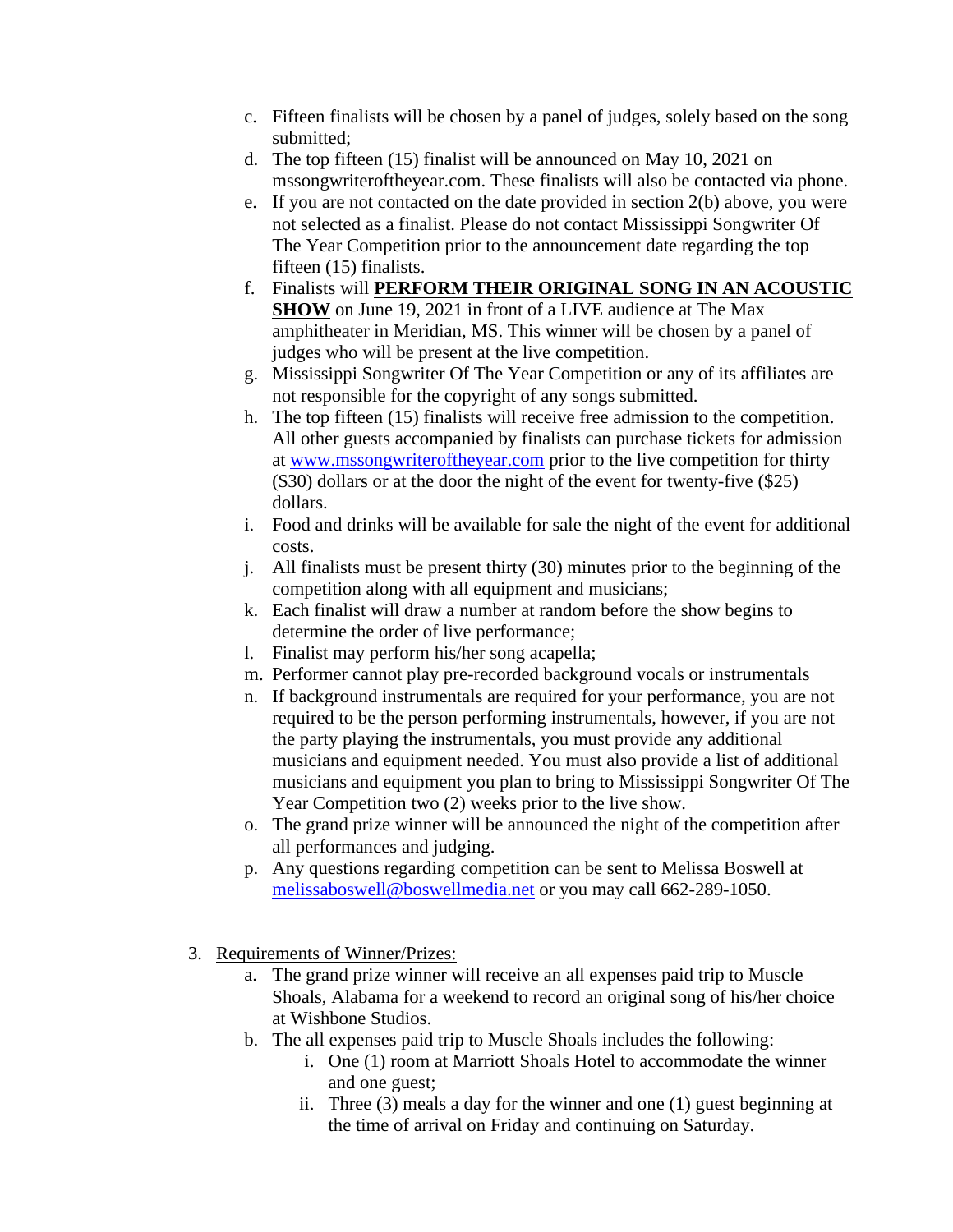- c. Fifteen finalists will be chosen by a panel of judges, solely based on the song submitted;
- d. The top fifteen (15) finalist will be announced on May 10, 2021 on mssongwriteroftheyear.com. These finalists will also be contacted via phone.
- e. If you are not contacted on the date provided in section 2(b) above, you were not selected as a finalist. Please do not contact Mississippi Songwriter Of The Year Competition prior to the announcement date regarding the top fifteen (15) finalists.
- f. Finalists will **PERFORM THEIR ORIGINAL SONG IN AN ACOUSTIC SHOW** on June 19, 2021 in front of a LIVE audience at The Max amphitheater in Meridian, MS. This winner will be chosen by a panel of judges who will be present at the live competition.
- g. Mississippi Songwriter Of The Year Competition or any of its affiliates are not responsible for the copyright of any songs submitted.
- h. The top fifteen (15) finalists will receive free admission to the competition. All other guests accompanied by finalists can purchase tickets for admission at [www.mssongwriteroftheyear.com](http://www.mssongwriteroftheyear.com/) prior to the live competition for thirty (\$30) dollars or at the door the night of the event for twenty-five (\$25) dollars.
- i. Food and drinks will be available for sale the night of the event for additional costs.
- j. All finalists must be present thirty (30) minutes prior to the beginning of the competition along with all equipment and musicians;
- k. Each finalist will draw a number at random before the show begins to determine the order of live performance;
- l. Finalist may perform his/her song acapella;
- m. Performer cannot play pre-recorded background vocals or instrumentals
- n. If background instrumentals are required for your performance, you are not required to be the person performing instrumentals, however, if you are not the party playing the instrumentals, you must provide any additional musicians and equipment needed. You must also provide a list of additional musicians and equipment you plan to bring to Mississippi Songwriter Of The Year Competition two (2) weeks prior to the live show.
- o. The grand prize winner will be announced the night of the competition after all performances and judging.
- p. Any questions regarding competition can be sent to Melissa Boswell at [melissaboswell@boswellmedia.net](mailto:melissaboswell@boswellmedia.net) or you may call 662-289-1050.
- 3. Requirements of Winner/Prizes:
	- a. The grand prize winner will receive an all expenses paid trip to Muscle Shoals, Alabama for a weekend to record an original song of his/her choice at Wishbone Studios.
	- b. The all expenses paid trip to Muscle Shoals includes the following:
		- i. One (1) room at Marriott Shoals Hotel to accommodate the winner and one guest;
		- ii. Three (3) meals a day for the winner and one (1) guest beginning at the time of arrival on Friday and continuing on Saturday.